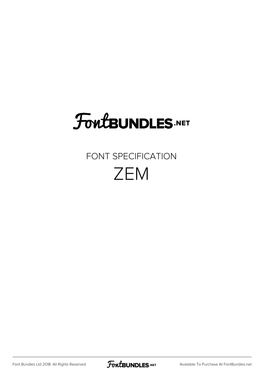# **FoutBUNDLES.NET**

### FONT SPECIFICATION ZEM

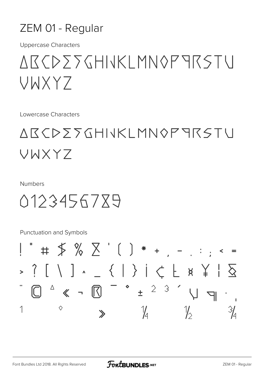### ZEM 01 - Regular

**Uppercase Characters** 

# ARCD 55 GHIJKI MNOP 9R ST U VWXY7

Lowercase Characters

## ABCDEFGHIVKLMNOP TRSTU VWXYZ

**Numbers** 

0123456789

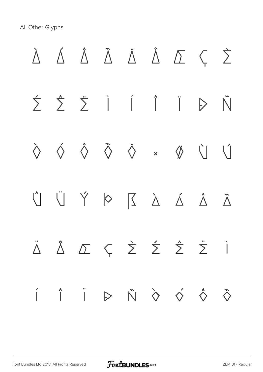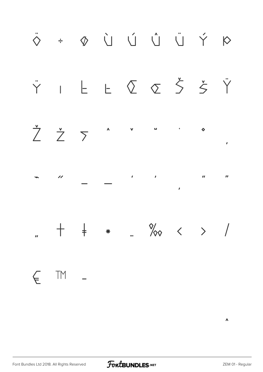

 $\blacktriangle$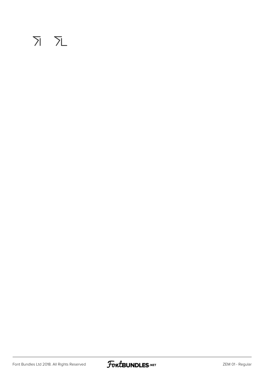### $\overline{\chi}$

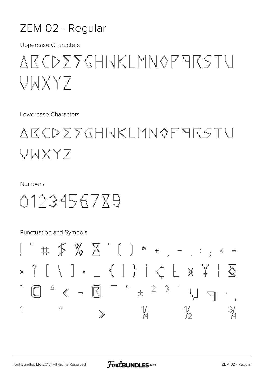### ZEM 02 - Regular

**Uppercase Characters** 

# ARCD ESCHIJKI MNOP FRST U VWXY7

Lowercase Characters

## ARCDEFGHIVKLMNOP TRSTU VWXYZ

**Numbers** 

0123456789

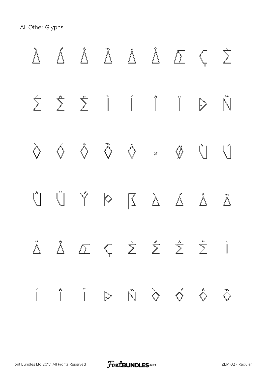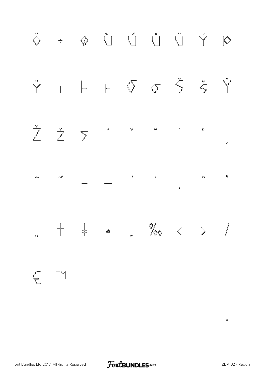

 $\mathbb A$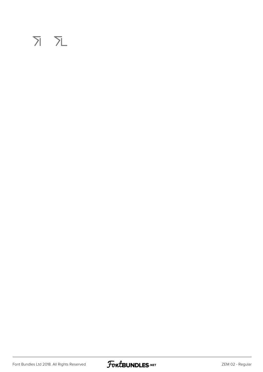### fi fl

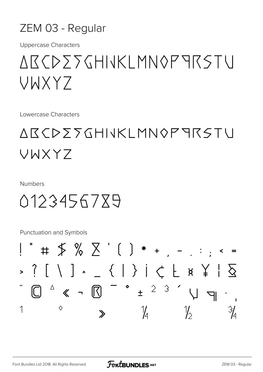### ZEM 03 - Regular

**Uppercase Characters** 

# ARCD 55 GHIJKI MNOP 9R ST U VWXY7

Lowercase Characters

## ABCDEFGHIJKLMNOP TRSTU VWXYZ

**Numbers** 

0123456789

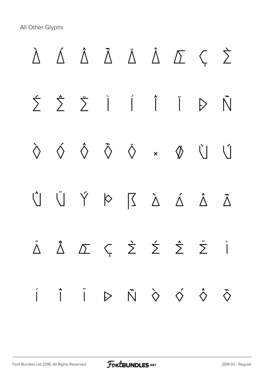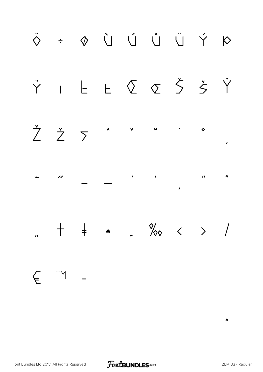

 $\boldsymbol{\lambda}$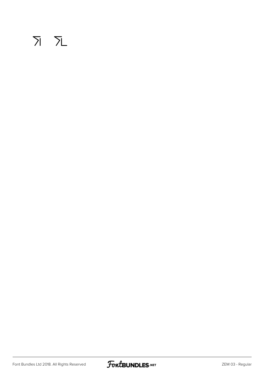### $\overline{\gamma}$   $\overline{\gamma}$

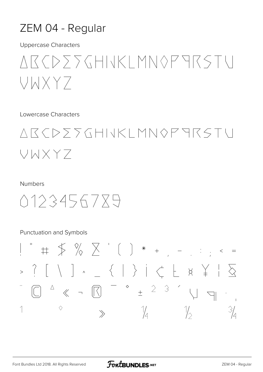#### ZEM 04 - Regular

**Uppercase Characters** 

# $R<\triangleright$   $>$   $>$   $K<$   $H1\sqrt{K}$  |  $M1\sqrt{F}$   $H1\sqrt{F}$ VWXY7

Lowercase Characters

### $\wedge$   $\wedge$   $\wedge$   $\triangleright$   $\ge$   $\wedge$   $\wedge$   $\wedge$   $\vee$   $\wedge$   $\wedge$   $\wedge$   $\wedge$   $\vee$   $\wedge$   $\wedge$   $\wedge$   $\wedge$   $\wedge$   $\wedge$   $\wedge$   $\wedge$   $\wedge$   $\wedge$   $\wedge$   $\wedge$   $\wedge$   $\wedge$   $\wedge$   $\wedge$   $\wedge$   $\wedge$   $\wedge$   $\wedge$   $\wedge$   $\wedge$   $\wedge$ VWXY7

#### **Numbers**

0123456789

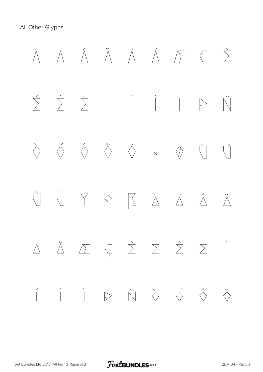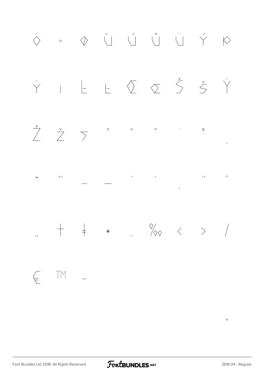

FontBUNDLES.NET

 $\boldsymbol{\wedge}$